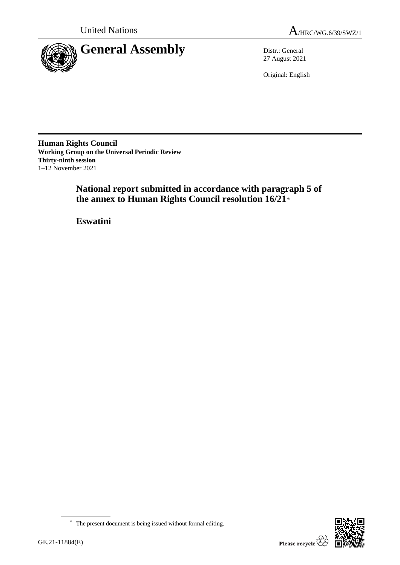



27 August 2021

Original: English

**Human Rights Council Working Group on the Universal Periodic Review Thirty-ninth session** 1–12 November 2021

> **National report submitted in accordance with paragraph 5 of the annex to Human Rights Council resolution 16/21**\*

**Eswatini**

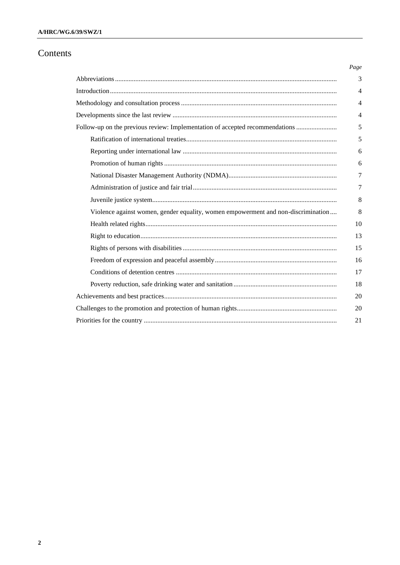## Contents

|                                                                                   | Page           |
|-----------------------------------------------------------------------------------|----------------|
|                                                                                   | 3              |
|                                                                                   | $\overline{4}$ |
|                                                                                   | 4              |
|                                                                                   | $\overline{4}$ |
| Follow-up on the previous review: Implementation of accepted recommendations      | 5              |
|                                                                                   | 5              |
|                                                                                   | 6              |
|                                                                                   | 6              |
|                                                                                   | 7              |
|                                                                                   | 7              |
|                                                                                   | 8              |
| Violence against women, gender equality, women empowerment and non-discrimination | 8              |
|                                                                                   | 10             |
|                                                                                   | 13             |
|                                                                                   | 15             |
|                                                                                   | 16             |
|                                                                                   | 17             |
|                                                                                   | 18             |
|                                                                                   | 20             |
|                                                                                   | 20             |
|                                                                                   | 21             |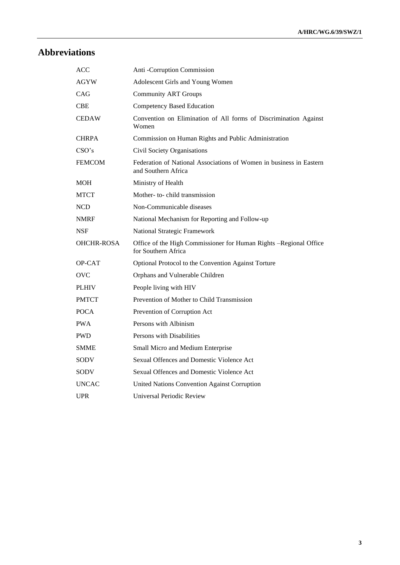# **Abbreviations**

| ACC               | Anti -Corruption Commission                                                                |
|-------------------|--------------------------------------------------------------------------------------------|
| AGYW              | Adolescent Girls and Young Women                                                           |
| CAG               | <b>Community ART Groups</b>                                                                |
| <b>CBE</b>        | <b>Competency Based Education</b>                                                          |
| <b>CEDAW</b>      | Convention on Elimination of All forms of Discrimination Against<br>Women                  |
| <b>CHRPA</b>      | Commission on Human Rights and Public Administration                                       |
| CSO's             | Civil Society Organisations                                                                |
| <b>FEMCOM</b>     | Federation of National Associations of Women in business in Eastern<br>and Southern Africa |
| <b>MOH</b>        | Ministry of Health                                                                         |
| MTCT              | Mother- to-child transmission                                                              |
| <b>NCD</b>        | Non-Communicable diseases                                                                  |
| <b>NMRF</b>       | National Mechanism for Reporting and Follow-up                                             |
| <b>NSF</b>        | National Strategic Framework                                                               |
| <b>OHCHR-ROSA</b> | Office of the High Commissioner for Human Rights -Regional Office<br>for Southern Africa   |
| OP-CAT            | Optional Protocol to the Convention Against Torture                                        |
| <b>OVC</b>        | Orphans and Vulnerable Children                                                            |
| <b>PLHIV</b>      | People living with HIV                                                                     |
| <b>PMTCT</b>      | Prevention of Mother to Child Transmission                                                 |
| <b>POCA</b>       | Prevention of Corruption Act                                                               |
| <b>PWA</b>        | Persons with Albinism                                                                      |
| <b>PWD</b>        | Persons with Disabilities                                                                  |
| <b>SMME</b>       | Small Micro and Medium Enterprise                                                          |
| SODV              | Sexual Offences and Domestic Violence Act                                                  |
| <b>SODV</b>       | Sexual Offences and Domestic Violence Act                                                  |
| <b>UNCAC</b>      | United Nations Convention Against Corruption                                               |
| UPR               | Universal Periodic Review                                                                  |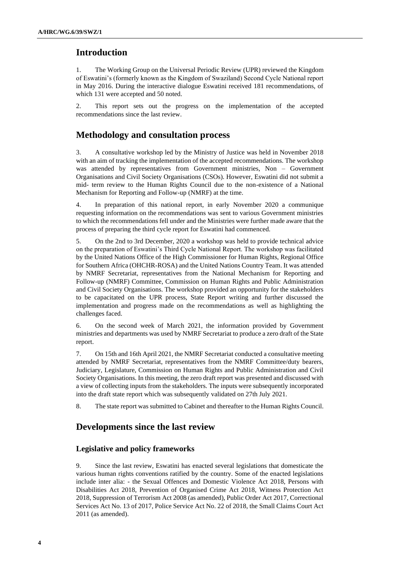## **Introduction**

1. The Working Group on the Universal Periodic Review (UPR) reviewed the Kingdom of Eswatini's (formerly known as the Kingdom of Swaziland) Second Cycle National report in May 2016. During the interactive dialogue Eswatini received 181 recommendations, of which 131 were accepted and 50 noted.

2. This report sets out the progress on the implementation of the accepted recommendations since the last review.

## **Methodology and consultation process**

3. A consultative workshop led by the Ministry of Justice was held in November 2018 with an aim of tracking the implementation of the accepted recommendations. The workshop was attended by representatives from Government ministries, Non – Government Organisations and Civil Society Organisations (CSOs). However, Eswatini did not submit a mid- term review to the Human Rights Council due to the non-existence of a National Mechanism for Reporting and Follow-up (NMRF) at the time.

4. In preparation of this national report, in early November 2020 a communique requesting information on the recommendations was sent to various Government ministries to which the recommendations fell under and the Ministries were further made aware that the process of preparing the third cycle report for Eswatini had commenced.

5. On the 2nd to 3rd December, 2020 a workshop was held to provide technical advice on the preparation of Eswatini's Third Cycle National Report. The workshop was facilitated by the United Nations Office of the High Commissioner for Human Rights, Regional Office for Southern Africa (OHCHR-ROSA) and the United Nations Country Team. It was attended by NMRF Secretariat, representatives from the National Mechanism for Reporting and Follow-up (NMRF) Committee, Commission on Human Rights and Public Administration and Civil Society Organisations. The workshop provided an opportunity for the stakeholders to be capacitated on the UPR process, State Report writing and further discussed the implementation and progress made on the recommendations as well as highlighting the challenges faced.

6. On the second week of March 2021, the information provided by Government ministries and departments was used by NMRF Secretariat to produce a zero draft of the State report.

7. On 15th and 16th April 2021, the NMRF Secretariat conducted a consultative meeting attended by NMRF Secretariat, representatives from the NMRF Committee/duty bearers, Judiciary, Legislature, Commission on Human Rights and Public Administration and Civil Society Organisations. In this meeting, the zero draft report was presented and discussed with a view of collecting inputs from the stakeholders. The inputs were subsequently incorporated into the draft state report which was subsequently validated on 27th July 2021.

8. The state report was submitted to Cabinet and thereafter to the Human Rights Council.

## **Developments since the last review**

#### **Legislative and policy frameworks**

9. Since the last review, Eswatini has enacted several legislations that domesticate the various human rights conventions ratified by the country. Some of the enacted legislations include inter alia: - the Sexual Offences and Domestic Violence Act 2018, Persons with Disabilities Act 2018, Prevention of Organised Crime Act 2018, Witness Protection Act 2018, Suppression of Terrorism Act 2008 (as amended), Public Order Act 2017, Correctional Services Act No. 13 of 2017, Police Service Act No. 22 of 2018, the Small Claims Court Act 2011 (as amended).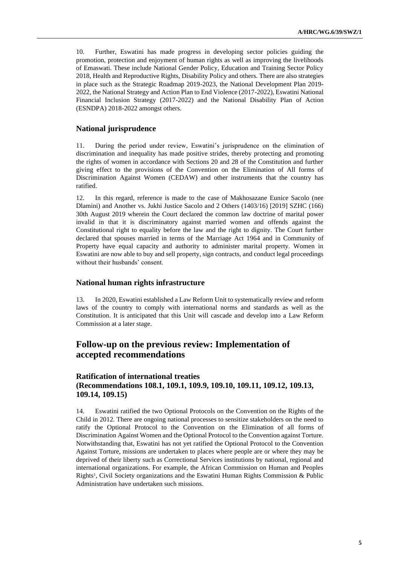10. Further, Eswatini has made progress in developing sector policies guiding the promotion, protection and enjoyment of human rights as well as improving the livelihoods of Emaswati. These include National Gender Policy, Education and Training Sector Policy 2018, Health and Reproductive Rights, Disability Policy and others. There are also strategies in place such as the Strategic Roadmap 2019-2023, the National Development Plan 2019- 2022, the National Strategy and Action Plan to End Violence (2017-2022), Eswatini National Financial Inclusion Strategy (2017-2022) and the National Disability Plan of Action (ESNDPA) 2018-2022 amongst others.

#### **National jurisprudence**

11. During the period under review, Eswatini's jurisprudence on the elimination of discrimination and inequality has made positive strides, thereby protecting and promoting the rights of women in accordance with Sections 20 and 28 of the Constitution and further giving effect to the provisions of the Convention on the Elimination of All forms of Discrimination Against Women (CEDAW) and other instruments that the country has ratified.

12. In this regard, reference is made to the case of Makhosazane Eunice Sacolo (nee Dlamini) and Another vs. Jukhi Justice Sacolo and 2 Others (1403/16) [2019] SZHC (166) 30th August 2019 wherein the Court declared the common law doctrine of marital power invalid in that it is discriminatory against married women and offends against the Constitutional right to equality before the law and the right to dignity. The Court further declared that spouses married in terms of the Marriage Act 1964 and in Community of Property have equal capacity and authority to administer marital property. Women in Eswatini are now able to buy and sell property, sign contracts, and conduct legal proceedings without their husbands' consent.

#### **National human rights infrastructure**

13. In 2020, Eswatini established a Law Reform Unit to systematically review and reform laws of the country to comply with international norms and standards as well as the Constitution. It is anticipated that this Unit will cascade and develop into a Law Reform Commission at a later stage.

## **Follow-up on the previous review: Implementation of accepted recommendations**

### **Ratification of international treaties (Recommendations 108.1, 109.1, 109.9, 109.10, 109.11, 109.12, 109.13, 109.14, 109.15)**

14. Eswatini ratified the two Optional Protocols on the Convention on the Rights of the Child in 2012. There are ongoing national processes to sensitize stakeholders on the need to ratify the Optional Protocol to the Convention on the Elimination of all forms of Discrimination Against Women and the Optional Protocol to the Convention against Torture. Notwithstanding that, Eswatini has not yet ratified the Optional Protocol to the Convention Against Torture, missions are undertaken to places where people are or where they may be deprived of their liberty such as Correctional Services institutions by national, regional and international organizations. For example, the African Commission on Human and Peoples Rights<sup>1</sup>, Civil Society organizations and the Eswatini Human Rights Commission & Public Administration have undertaken such missions.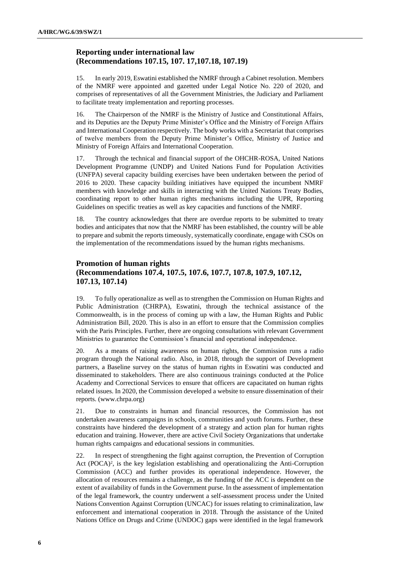### **Reporting under international law (Recommendations 107.15, 107. 17,107.18, 107.19)**

15. In early 2019, Eswatini established the NMRF through a Cabinet resolution. Members of the NMRF were appointed and gazetted under Legal Notice No. 220 of 2020, and comprises of representatives of all the Government Ministries, the Judiciary and Parliament to facilitate treaty implementation and reporting processes.

16. The Chairperson of the NMRF is the Ministry of Justice and Constitutional Affairs, and its Deputies are the Deputy Prime Minister's Office and the Ministry of Foreign Affairs and International Cooperation respectively. The body works with a Secretariat that comprises of twelve members from the Deputy Prime Minister's Office, Ministry of Justice and Ministry of Foreign Affairs and International Cooperation.

17. Through the technical and financial support of the OHCHR-ROSA, United Nations Development Programme (UNDP) and United Nations Fund for Population Activities (UNFPA) several capacity building exercises have been undertaken between the period of 2016 to 2020. These capacity building initiatives have equipped the incumbent NMRF members with knowledge and skills in interacting with the United Nations Treaty Bodies, coordinating report to other human rights mechanisms including the UPR, Reporting Guidelines on specific treaties as well as key capacities and functions of the NMRF.

18. The country acknowledges that there are overdue reports to be submitted to treaty bodies and anticipates that now that the NMRF has been established, the country will be able to prepare and submit the reports timeously, systematically coordinate, engage with CSOs on the implementation of the recommendations issued by the human rights mechanisms.

## **Promotion of human rights (Recommendations 107.4, 107.5, 107.6, 107.7, 107.8, 107.9, 107.12, 107.13, 107.14)**

19. To fully operationalize as well as to strengthen the Commission on Human Rights and Public Administration (CHRPA), Eswatini, through the technical assistance of the Commonwealth, is in the process of coming up with a law, the Human Rights and Public Administration Bill, 2020. This is also in an effort to ensure that the Commission complies with the Paris Principles. Further, there are ongoing consultations with relevant Government Ministries to guarantee the Commission's financial and operational independence.

20. As a means of raising awareness on human rights, the Commission runs a radio program through the National radio. Also, in 2018, through the support of Development partners, a Baseline survey on the status of human rights in Eswatini was conducted and disseminated to stakeholders. There are also continuous trainings conducted at the Police Academy and Correctional Services to ensure that officers are capacitated on human rights related issues. In 2020, the Commission developed a website to ensure dissemination of their reports. [\(www.chrpa.org\)](http://www.chrpa.org/)

21. Due to constraints in human and financial resources, the Commission has not undertaken awareness campaigns in schools, communities and youth forums. Further, these constraints have hindered the development of a strategy and action plan for human rights education and training. However, there are active Civil Society Organizations that undertake human rights campaigns and educational sessions in communities.

22. In respect of strengthening the fight against corruption, the Prevention of Corruption Act  $(POCA)^2$ , is the key legislation establishing and operationalizing the Anti-Corruption Commission (ACC) and further provides its operational independence. However, the allocation of resources remains a challenge, as the funding of the ACC is dependent on the extent of availability of funds in the Government purse. In the assessment of implementation of the legal framework, the country underwent a self-assessment process under the United Nations Convention Against Corruption (UNCAC) for issues relating to criminalization, law enforcement and international cooperation in 2018. Through the assistance of the United Nations Office on Drugs and Crime (UNDOC) gaps were identified in the legal framework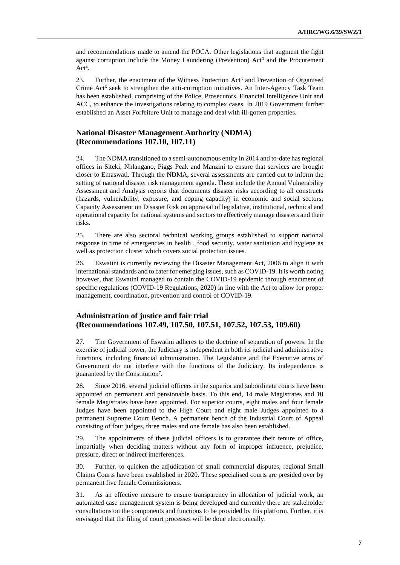and recommendations made to amend the POCA. Other legislations that augment the fight against corruption include the Money Laundering (Prevention)  $Act<sup>3</sup>$  and the Procurement  $Act<sup>4</sup>$ .

23. Further, the enactment of the Witness Protection Act<sup>5</sup> and Prevention of Organised Crime Act<sup>6</sup> seek to strengthen the anti-corruption initiatives. An Inter-Agency Task Team has been established, comprising of the Police, Prosecutors, Financial Intelligence Unit and ACC, to enhance the investigations relating to complex cases. In 2019 Government further established an Asset Forfeiture Unit to manage and deal with ill-gotten properties.

### **National Disaster Management Authority (NDMA) (Recommendations 107.10, 107.11)**

24. The NDMA transitioned to a semi-autonomous entity in 2014 and to-date has regional offices in Siteki, Nhlangano, Piggs Peak and Manzini to ensure that services are brought closer to Emaswati. Through the NDMA, several assessments are carried out to inform the setting of national disaster risk management agenda. These include the Annual Vulnerability Assessment and Analysis reports that documents disaster risks according to all constructs (hazards, vulnerability, exposure, and coping capacity) in economic and social sectors; Capacity Assessment on Disaster Risk on appraisal of legislative, institutional, technical and operational capacity for national systems and sectors to effectively manage disasters and their risks.

25. There are also sectoral technical working groups established to support national response in time of emergencies in health , food security, water sanitation and hygiene as well as protection cluster which covers social protection issues.

26. Eswatini is currently reviewing the Disaster Management Act, 2006 to align it with international standards and to cater for emerging issues, such as COVID-19. It is worth noting however, that Eswatini managed to contain the COVID-19 epidemic through enactment of specific regulations (COVID-19 Regulations, 2020) in line with the Act to allow for proper management, coordination, prevention and control of COVID-19.

#### **Administration of justice and fair trial (Recommendations 107.49, 107.50, 107.51, 107.52, 107.53, 109.60)**

27. The Government of Eswatini adheres to the doctrine of separation of powers. In the exercise of judicial power, the Judiciary is independent in both its judicial and administrative functions, including financial administration. The Legislature and the Executive arms of Government do not interfere with the functions of the Judiciary. Its independence is guaranteed by the Constitution<sup>7</sup> .

28. Since 2016, several judicial officers in the superior and subordinate courts have been appointed on permanent and pensionable basis. To this end, 14 male Magistrates and 10 female Magistrates have been appointed. For superior courts, eight males and four female Judges have been appointed to the High Court and eight male Judges appointed to a permanent Supreme Court Bench. A permanent bench of the Industrial Court of Appeal consisting of four judges, three males and one female has also been established.

29. The appointments of these judicial officers is to guarantee their tenure of office, impartially when deciding matters without any form of improper influence, prejudice, pressure, direct or indirect interferences.

30. Further, to quicken the adjudication of small commercial disputes, regional Small Claims Courts have been established in 2020. These specialised courts are presided over by permanent five female Commissioners.

31. As an effective measure to ensure transparency in allocation of judicial work, an automated case management system is being developed and currently there are stakeholder consultations on the components and functions to be provided by this platform. Further, it is envisaged that the filing of court processes will be done electronically.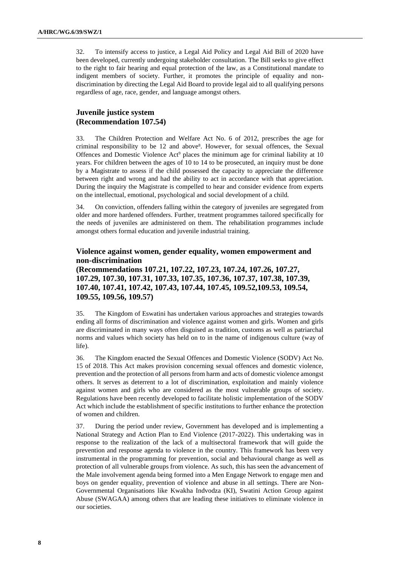32. To intensify access to justice, a Legal Aid Policy and Legal Aid Bill of 2020 have been developed, currently undergoing stakeholder consultation. The Bill seeks to give effect to the right to fair hearing and equal protection of the law, as a Constitutional mandate to indigent members of society. Further, it promotes the principle of equality and nondiscrimination by directing the Legal Aid Board to provide legal aid to all qualifying persons regardless of age, race, gender, and language amongst others.

### **Juvenile justice system (Recommendation 107.54)**

33. The Children Protection and Welfare Act No. 6 of 2012, prescribes the age for criminal responsibility to be 12 and above<sup>8</sup>. However, for sexual offences, the Sexual Offences and Domestic Violence Act<sup>9</sup> places the minimum age for criminal liability at 10 years. For children between the ages of 10 to 14 to be prosecuted, an inquiry must be done by a Magistrate to assess if the child possessed the capacity to appreciate the difference between right and wrong and had the ability to act in accordance with that appreciation. During the inquiry the Magistrate is compelled to hear and consider evidence from experts on the intellectual, emotional, psychological and social development of a child.

34. On conviction, offenders falling within the category of juveniles are segregated from older and more hardened offenders. Further, treatment programmes tailored specifically for the needs of juveniles are administered on them. The rehabilitation programmes include amongst others formal education and juvenile industrial training.

#### **Violence against women, gender equality, women empowerment and non-discrimination**

**(Recommendations 107.21, 107.22, 107.23, 107.24, 107.26, 107.27, 107.29, 107.30, 107.31, 107.33, 107.35, 107.36, 107.37, 107.38, 107.39, 107.40, 107.41, 107.42, 107.43, 107.44, 107.45, 109.52,109.53, 109.54, 109.55, 109.56, 109.57)**

35. The Kingdom of Eswatini has undertaken various approaches and strategies towards ending all forms of discrimination and violence against women and girls. Women and girls are discriminated in many ways often disguised as tradition, customs as well as patriarchal norms and values which society has held on to in the name of indigenous culture (way of life).

36. The Kingdom enacted the Sexual Offences and Domestic Violence (SODV) Act No. 15 of 2018. This Act makes provision concerning sexual offences and domestic violence, prevention and the protection of all persons from harm and acts of domestic violence amongst others. It serves as deterrent to a lot of discrimination, exploitation and mainly violence against women and girls who are considered as the most vulnerable groups of society. Regulations have been recently developed to facilitate holistic implementation of the SODV Act which include the establishment of specific institutions to further enhance the protection of women and children.

37. During the period under review, Government has developed and is implementing a National Strategy and Action Plan to End Violence (2017-2022). This undertaking was in response to the realization of the lack of a multisectoral framework that will guide the prevention and response agenda to violence in the country. This framework has been very instrumental in the programming for prevention, social and behavioural change as well as protection of all vulnerable groups from violence. As such, this has seen the advancement of the Male involvement agenda being formed into a Men Engage Network to engage men and boys on gender equality, prevention of violence and abuse in all settings. There are Non-Governmental Organisations like Kwakha Indvodza (KI), Swatini Action Group against Abuse (SWAGAA) among others that are leading these initiatives to eliminate violence in our societies.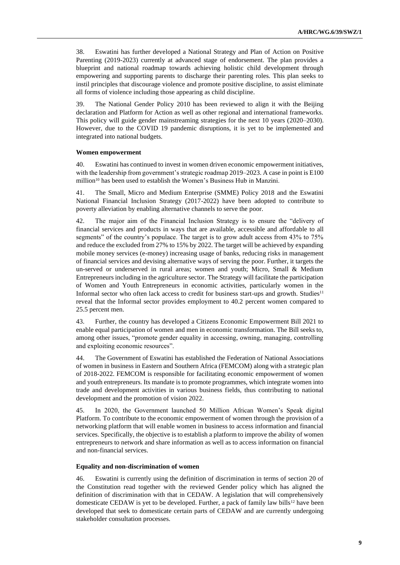38. Eswatini has further developed a National Strategy and Plan of Action on Positive Parenting (2019-2023) currently at advanced stage of endorsement. The plan provides a blueprint and national roadmap towards achieving holistic child development through empowering and supporting parents to discharge their parenting roles. This plan seeks to instil principles that discourage violence and promote positive discipline, to assist eliminate all forms of violence including those appearing as child discipline.

39. The National Gender Policy 2010 has been reviewed to align it with the Beijing declaration and Platform for Action as well as other regional and international frameworks. This policy will guide gender mainstreaming strategies for the next 10 years (2020–2030). However, due to the COVID 19 pandemic disruptions, it is yet to be implemented and integrated into national budgets.

#### **Women empowerment**

40. Eswatini has continued to invest in women driven economic empowerment initiatives, with the leadership from government's strategic roadmap 2019–2023. A case in point is E100 million<sup>10</sup> has been used to establish the Women's Business Hub in Manzini.

41. The Small, Micro and Medium Enterprise (SMME) Policy 2018 and the Eswatini National Financial Inclusion Strategy (2017-2022) have been adopted to contribute to poverty alleviation by enabling alternative channels to serve the poor.

42. The major aim of the Financial Inclusion Strategy is to ensure the "delivery of financial services and products in ways that are available, accessible and affordable to all segments" of the country's populace. The target is to grow adult access from 43% to 75% and reduce the excluded from 27% to 15% by 2022. The target will be achieved by expanding mobile money services (e-money) increasing usage of banks, reducing risks in management of financial services and devising alternative ways of serving the poor. Further, it targets the un-served or underserved in rural areas; women and youth; Micro, Small & Medium Entrepreneurs including in the agriculture sector. The Strategy will facilitate the participation of Women and Youth Entrepreneurs in economic activities, particularly women in the Informal sector who often lack access to credit for business start-ups and growth. Studies<sup>11</sup> reveal that the Informal sector provides employment to 40.2 percent women compared to 25.5 percent men.

43. Further, the country has developed a Citizens Economic Empowerment Bill 2021 to enable equal participation of women and men in economic transformation. The Bill seeks to, among other issues, "promote gender equality in accessing, owning, managing, controlling and exploiting economic resources".

44. The Government of Eswatini has established the Federation of National Associations of women in business in Eastern and Southern Africa (FEMCOM) along with a strategic plan of 2018-2022. FEMCOM is responsible for facilitating economic empowerment of women and youth entrepreneurs. Its mandate is to promote programmes, which integrate women into trade and development activities in various business fields, thus contributing to national development and the promotion of vision 2022.

45. In 2020, the Government launched 50 Million African Women's Speak digital Platform. To contribute to the economic empowerment of women through the provision of a networking platform that will enable women in business to access information and financial services. Specifically, the objective is to establish a platform to improve the ability of women entrepreneurs to network and share information as well as to access information on financial and non-financial services.

#### **Equality and non-discrimination of women**

46. Eswatini is currently using the definition of discrimination in terms of section 20 of the Constitution read together with the reviewed Gender policy which has aligned the definition of discrimination with that in CEDAW. A legislation that will comprehensively domesticate CEDAW is yet to be developed. Further, a pack of family law bills<sup>12</sup> have been developed that seek to domesticate certain parts of CEDAW and are currently undergoing stakeholder consultation processes.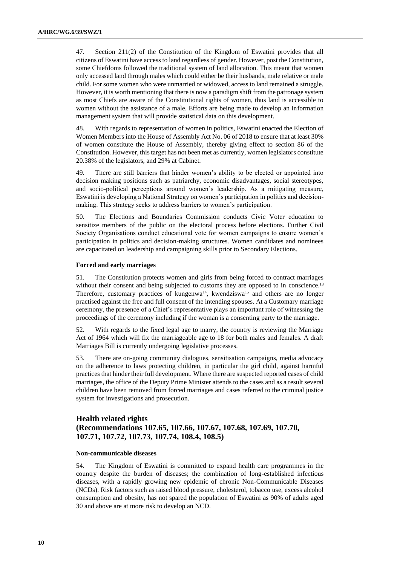47. Section 211(2) of the Constitution of the Kingdom of Eswatini provides that all citizens of Eswatini have access to land regardless of gender. However, post the Constitution, some Chiefdoms followed the traditional system of land allocation. This meant that women only accessed land through males which could either be their husbands, male relative or male child. For some women who were unmarried or widowed, access to land remained a struggle. However, it is worth mentioning that there is now a paradigm shift from the patronage system as most Chiefs are aware of the Constitutional rights of women, thus land is accessible to women without the assistance of a male. Efforts are being made to develop an information management system that will provide statistical data on this development.

48. With regards to representation of women in politics, Eswatini enacted the Election of Women Members into the House of Assembly Act No. 06 of 2018 to ensure that at least 30% of women constitute the House of Assembly, thereby giving effect to section 86 of the Constitution. However, this target has not been met as currently, women legislators constitute 20.38% of the legislators, and 29% at Cabinet.

49. There are still barriers that hinder women's ability to be elected or appointed into decision making positions such as patriarchy, economic disadvantages, social stereotypes, and socio-political perceptions around women's leadership. As a mitigating measure, Eswatini is developing a National Strategy on women's participation in politics and decisionmaking. This strategy seeks to address barriers to women's participation.

50. The Elections and Boundaries Commission conducts Civic Voter education to sensitize members of the public on the electoral process before elections. Further Civil Society Organisations conduct educational vote for women campaigns to ensure women's participation in politics and decision-making structures. Women candidates and nominees are capacitated on leadership and campaigning skills prior to Secondary Elections.

#### **Forced and early marriages**

51. The Constitution protects women and girls from being forced to contract marriages without their consent and being subjected to customs they are opposed to in conscience.<sup>13</sup> Therefore, customary practices of kungenwa<sup>14</sup>, kwendziswa<sup>15</sup> and others are no longer practised against the free and full consent of the intending spouses. At a Customary marriage ceremony, the presence of a Chief's representative plays an important role of witnessing the proceedings of the ceremony including if the woman is a consenting party to the marriage.

52. With regards to the fixed legal age to marry, the country is reviewing the Marriage Act of 1964 which will fix the marriageable age to 18 for both males and females. A draft Marriages Bill is currently undergoing legislative processes.

53. There are on-going community dialogues, sensitisation campaigns, media advocacy on the adherence to laws protecting children, in particular the girl child, against harmful practices that hinder their full development. Where there are suspected reported cases of child marriages, the office of the Deputy Prime Minister attends to the cases and as a result several children have been removed from forced marriages and cases referred to the criminal justice system for investigations and prosecution.

### **Health related rights (Recommendations 107.65, 107.66, 107.67, 107.68, 107.69, 107.70, 107.71, 107.72, 107.73, 107.74, 108.4, 108.5)**

#### **Non-communicable diseases**

54. The Kingdom of Eswatini is committed to expand health care programmes in the country despite the burden of diseases; the combination of long-established infectious diseases, with a rapidly growing new epidemic of chronic Non-Communicable Diseases (NCDs). Risk factors such as raised blood pressure, cholesterol, tobacco use, excess alcohol consumption and obesity, has not spared the population of Eswatini as 90% of adults aged 30 and above are at more risk to develop an NCD.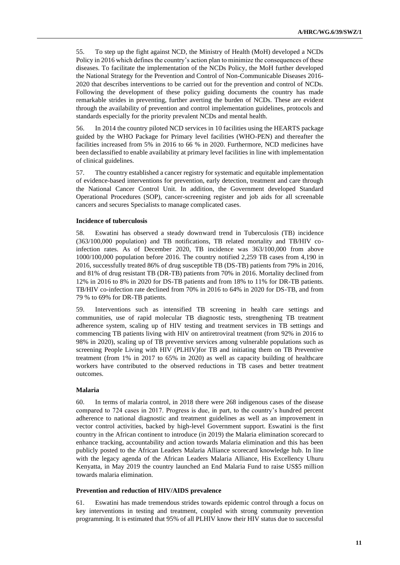55. To step up the fight against NCD, the Ministry of Health (MoH) developed a NCDs Policy in 2016 which defines the country's action plan to minimize the consequences of these diseases. To facilitate the implementation of the NCDs Policy, the MoH further developed the National Strategy for the Prevention and Control of Non-Communicable Diseases 2016- 2020 that describes interventions to be carried out for the prevention and control of NCDs. Following the development of these policy guiding documents the country has made remarkable strides in preventing, further averting the burden of NCDs. These are evident through the availability of prevention and control implementation guidelines, protocols and standards especially for the priority prevalent NCDs and mental health.

56. In 2014 the country piloted NCD services in 10 facilities using the HEARTS package guided by the WHO Package for Primary level facilities (WHO-PEN) and thereafter the facilities increased from 5% in 2016 to 66 % in 2020. Furthermore, NCD medicines have been declassified to enable availability at primary level facilities in line with implementation of clinical guidelines.

57. The country established a cancer registry for systematic and equitable implementation of evidence-based interventions for prevention, early detection, treatment and care through the National Cancer Control Unit. In addition, the Government developed Standard Operational Procedures (SOP), cancer-screening register and job aids for all screenable cancers and secures Specialists to manage complicated cases.

#### **Incidence of tuberculosis**

58. Eswatini has observed a steady downward trend in Tuberculosis (TB) incidence (363/100,000 population) and TB notifications, TB related mortality and TB/HIV coinfection rates. As of December 2020, TB incidence was 363/100,000 from above 1000/100,000 population before 2016. The country notified 2,259 TB cases from 4,190 in 2016, successfully treated 86% of drug susceptible TB (DS-TB) patients from 79% in 2016, and 81% of drug resistant TB (DR-TB) patients from 70% in 2016. Mortality declined from 12% in 2016 to 8% in 2020 for DS-TB patients and from 18% to 11% for DR-TB patients. TB/HIV co-infection rate declined from 70% in 2016 to 64% in 2020 for DS-TB, and from 79 % to 69% for DR-TB patients.

59. Interventions such as intensified TB screening in health care settings and communities, use of rapid molecular TB diagnostic tests, strengthening TB treatment adherence system, scaling up of HIV testing and treatment services in TB settings and commencing TB patients living with HIV on antiretroviral treatment (from 92% in 2016 to 98% in 2020), scaling up of TB preventive services among vulnerable populations such as screening People Living with HIV (PLHIV)for TB and initiating them on TB Preventive treatment (from 1% in 2017 to 65% in 2020) as well as capacity building of healthcare workers have contributed to the observed reductions in TB cases and better treatment outcomes.

#### **Malaria**

60. In terms of malaria control, in 2018 there were 268 indigenous cases of the disease compared to 724 cases in 2017. Progress is due, in part, to the country's hundred percent adherence to national diagnostic and treatment guidelines as well as an improvement in vector control activities, backed by high-level Government support. Eswatini is the first country in the African continent to introduce (in 2019) the Malaria elimination scorecard to enhance tracking, accountability and action towards Malaria elimination and this has been publicly posted to the African Leaders Malaria Alliance scorecard knowledge hub. In line with the legacy agenda of the African Leaders Malaria Alliance, His Excellency Uhuru Kenyatta, in May 2019 the country launched an End Malaria Fund to raise US\$5 million towards malaria elimination.

#### **Prevention and reduction of HIV/AIDS prevalence**

61. Eswatini has made tremendous strides towards epidemic control through a focus on key interventions in testing and treatment, coupled with strong community prevention programming. It is estimated that 95% of all PLHIV know their HIV status due to successful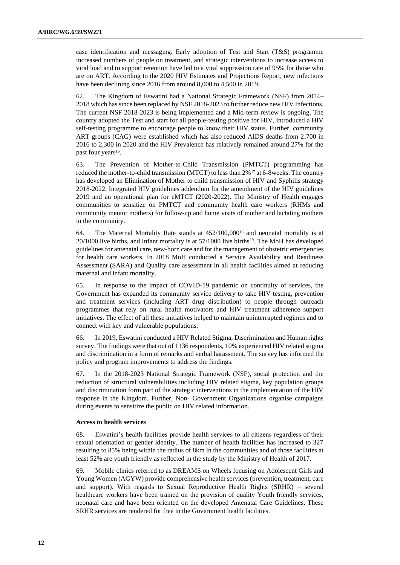case identification and messaging. Early adoption of Test and Start (T&S) programme increased numbers of people on treatment, and strategic interventions to increase access to viral load and to support retention have led to a viral suppression rate of 95% for those who are on ART. According to the 2020 HIV Estimates and Projections Report, new infections have been declining since 2016 from around 8,000 to 4,500 in 2019.

62. The Kingdom of Eswatini had a National Strategic Framework (NSF) from 2014– 2018 which has since been replaced by NSF 2018-2023 to further reduce new HIV Infections. The current NSF 2018-2023 is being implemented and a Mid-term review is ongoing. The country adopted the Test and start for all people-testing positive for HIV, introduced a HIV self-testing programme to encourage people to know their HIV status. Further, community ART groups (CAG) were established which has also reduced AIDS deaths from 2,700 in 2016 to 2,300 in 2020 and the HIV Prevalence has relatively remained around 27% for the past four years<sup>16</sup>.

63. The Prevention of Mother-to-Child Transmission (PMTCT) programming has reduced the mother-to-child transmission (MTCT) to less than 2%<sup>17</sup> at 6-8weeks. The country has developed an Elimination of Mother to child transmission of HIV and Syphilis strategy 2018-2022, Integrated HIV guidelines addendum for the amendment of the HIV guidelines 2019 and an operational plan for eMTCT (2020-2022). The Ministry of Health engages communities to sensitize on PMTCT and community health care workers (RHMs and community mentor mothers) for follow-up and home visits of mother and lactating mothers in the community.

64. The Maternal Mortality Rate stands at  $452/100,000^{18}$  and neonatal mortality is at 20/1000 live births, and Infant mortality is at 57/1000 live births<sup>19</sup>. The MoH has developed guidelines for antenatal care, new-born care and for the management of obstetric emergencies for health care workers. In 2018 MoH conducted a Service Availability and Readiness Assessment (SARA) and Quality care assessment in all health facilities aimed at reducing maternal and infant mortality.

65. In response to the impact of COVID-19 pandemic on continuity of services, the Government has expanded its community service delivery to take HIV testing, prevention and treatment services (including ART drug distribution) to people through outreach programmes that rely on rural health motivators and HIV treatment adherence support initiatives. The effect of all these initiatives helped to maintain uninterrupted regimes and to connect with key and vulnerable populations.

66. In 2019, Eswatini conducted a HIV Related Stigma, Discrimination and Human rights survey. The findings were that out of 1136 respondents, 10% experienced HIV related stigma and discrimination in a form of remarks and verbal harassment. The survey has informed the policy and program improvements to address the findings.

67. In the 2018-2023 National Strategic Framework (NSF), social protection and the reduction of structural vulnerabilities including HIV related stigma, key population groups and discrimination form part of the strategic interventions in the implementation of the HIV response in the Kingdom. Further, Non- Government Organizations organise campaigns during events to sensitize the public on HIV related information.

#### **Access to health services**

68. Eswatini's health facilities provide health services to all citizens regardless of their sexual orientation or gender identity. The number of health facilities has increased to 327 resulting to 85% being within the radius of 8km in the communities and of those facilities at least 52% are youth friendly as reflected in the study by the Ministry of Health of 2017.

69. Mobile clinics referred to as DREAMS on Wheels focusing on Adolescent Girls and Young Women (AGYW) provide comprehensive health services (prevention, treatment, care and support). With regards to Sexual Reproductive Health Rights (SRHR) – several healthcare workers have been trained on the provision of quality Youth friendly services, neonatal care and have been oriented on the developed Antenatal Care Guidelines. These SRHR services are rendered for free in the Government health facilities.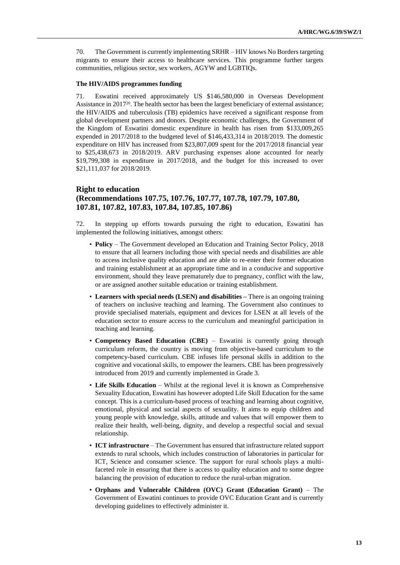70. The Government is currently implementing SRHR – HIV knows No Borders targeting migrants to ensure their access to healthcare services. This programme further targets communities, religious sector, sex workers, AGYW and LGBTIQs.

#### **The HIV/AIDS programmes funding**

71. Eswatini received approximately US \$146,580,000 in Overseas Development Assistance in 2017<sup>20</sup>. The health sector has been the largest beneficiary of external assistance; the HIV/AIDS and tuberculosis (TB) epidemics have received a significant response from global development partners and donors. Despite economic challenges, the Government of the Kingdom of Eswatini domestic expenditure in health has risen from \$133,009,265 expended in 2017/2018 to the budgeted level of \$146,433,314 in 2018/2019. The domestic expenditure on HIV has increased from \$23,807,009 spent for the 2017/2018 financial year to \$25,438,673 in 2018/2019. ARV purchasing expenses alone accounted for nearly \$19,799,308 in expenditure in 2017/2018, and the budget for this increased to over \$21,111,037 for 2018/2019.

### **Right to education (Recommendations 107.75, 107.76, 107.77, 107.78, 107.79, 107.80, 107.81, 107.82, 107.83, 107.84, 107.85, 107.86)**

72. In stepping up efforts towards pursuing the right to education, Eswatini has implemented the following initiatives, amongst others:

- **Policy** The Government developed an Education and Training Sector Policy, 2018 to ensure that all learners including those with special needs and disabilities are able to access inclusive quality education and are able to re-enter their former education and training establishment at an appropriate time and in a conducive and supportive environment, should they leave prematurely due to pregnancy, conflict with the law, or are assigned another suitable education or training establishment.
- **Learners with special needs (LSEN) and disabilities –** There is an ongoing training of teachers on inclusive teaching and learning. The Government also continues to provide specialised materials, equipment and devices for LSEN at all levels of the education sector to ensure access to the curriculum and meaningful participation in teaching and learning.
- **Competency Based Education (CBE)** Eswatini is currently going through curriculum reform, the country is moving from objective-based curriculum to the competency-based curriculum. CBE infuses life personal skills in addition to the cognitive and vocational skills, to empower the learners. CBE has been progressively introduced from 2019 and currently implemented in Grade 3.
- **Life Skills Education** Whilst at the regional level it is known as Comprehensive Sexuality Education, Eswatini has however adopted Life Skill Education for the same concept. This is a curriculum-based process of teaching and learning about cognitive, emotional, physical and social aspects of sexuality. It aims to equip children and young people with knowledge, skills, attitude and values that will empower them to realize their health, well-being, dignity, and develop a respectful social and sexual relationship.
- **ICT infrastructure** The Government has ensured that infrastructure related support extends to rural schools, which includes construction of laboratories in particular for ICT, Science and consumer science. The support for rural schools plays a multifaceted role in ensuring that there is access to quality education and to some degree balancing the provision of education to reduce the rural-urban migration.
- **Orphans and Vulnerable Children (OVC) Grant (Education Grant)** The Government of Eswatini continues to provide OVC Education Grant and is currently developing guidelines to effectively administer it.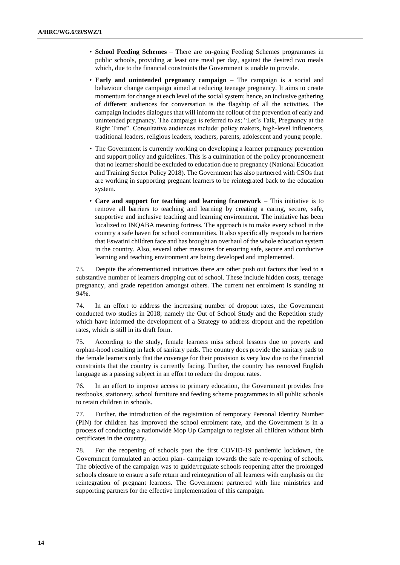- **School Feeding Schemes** There are on-going Feeding Schemes programmes in public schools, providing at least one meal per day, against the desired two meals which, due to the financial constraints the Government is unable to provide.
- **Early and unintended pregnancy campaign** The campaign is a social and behaviour change campaign aimed at reducing teenage pregnancy. It aims to create momentum for change at each level of the social system; hence, an inclusive gathering of different audiences for conversation is the flagship of all the activities. The campaign includes dialogues that will inform the rollout of the prevention of early and unintended pregnancy. The campaign is referred to as; "Let's Talk, Pregnancy at the Right Time". Consultative audiences include: policy makers, high-level influencers, traditional leaders, religious leaders, teachers, parents, adolescent and young people.
- The Government is currently working on developing a learner pregnancy prevention and support policy and guidelines. This is a culmination of the policy pronouncement that no learner should be excluded to education due to pregnancy (National Education and Training Sector Policy 2018). The Government has also partnered with CSOs that are working in supporting pregnant learners to be reintegrated back to the education system.
- **Care and support for teaching and learning framework** This initiative is to remove all barriers to teaching and learning by creating a caring, secure, safe, supportive and inclusive teaching and learning environment. The initiative has been localized to INQABA meaning fortress. The approach is to make every school in the country a safe haven for school communities. It also specifically responds to barriers that Eswatini children face and has brought an overhaul of the whole education system in the country. Also, several other measures for ensuring safe, secure and conducive learning and teaching environment are being developed and implemented.

73. Despite the aforementioned initiatives there are other push out factors that lead to a substantive number of learners dropping out of school. These include hidden costs, teenage pregnancy, and grade repetition amongst others. The current net enrolment is standing at 94%.

74. In an effort to address the increasing number of dropout rates, the Government conducted two studies in 2018; namely the Out of School Study and the Repetition study which have informed the development of a Strategy to address dropout and the repetition rates, which is still in its draft form.

75. According to the study, female learners miss school lessons due to poverty and orphan-hood resulting in lack of sanitary pads. The country does provide the sanitary pads to the female learners only that the coverage for their provision is very low due to the financial constraints that the country is currently facing. Further, the country has removed English language as a passing subject in an effort to reduce the dropout rates.

76. In an effort to improve access to primary education, the Government provides free textbooks, stationery, school furniture and feeding scheme programmes to all public schools to retain children in schools.

77. Further, the introduction of the registration of temporary Personal Identity Number (PIN) for children has improved the school enrolment rate, and the Government is in a process of conducting a nationwide Mop Up Campaign to register all children without birth certificates in the country.

78. For the reopening of schools post the first COVID-19 pandemic lockdown, the Government formulated an action plan- campaign towards the safe re-opening of schools. The objective of the campaign was to guide/regulate schools reopening after the prolonged schools closure to ensure a safe return and reintegration of all learners with emphasis on the reintegration of pregnant learners. The Government partnered with line ministries and supporting partners for the effective implementation of this campaign.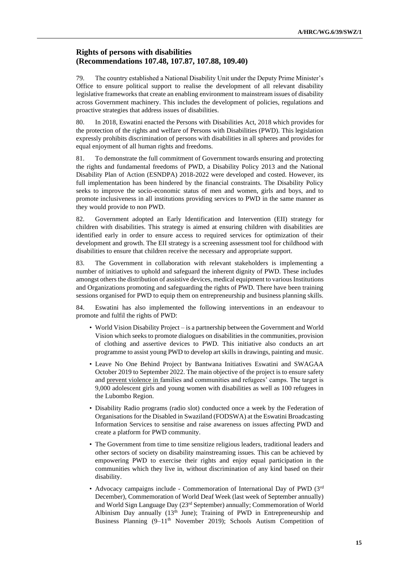### **Rights of persons with disabilities (Recommendations 107.48, 107.87, 107.88, 109.40)**

79. The country established a National Disability Unit under the Deputy Prime Minister's Office to ensure political support to realise the development of all relevant disability legislative frameworks that create an enabling environment to mainstream issues of disability across Government machinery. This includes the development of policies, regulations and proactive strategies that address issues of disabilities.

80. In 2018, Eswatini enacted the Persons with Disabilities Act, 2018 which provides for the protection of the rights and welfare of Persons with Disabilities (PWD). This legislation expressly prohibits discrimination of persons with disabilities in all spheres and provides for equal enjoyment of all human rights and freedoms.

81. To demonstrate the full commitment of Government towards ensuring and protecting the rights and fundamental freedoms of PWD, a Disability Policy 2013 and the National Disability Plan of Action (ESNDPA) 2018-2022 were developed and costed. However, its full implementation has been hindered by the financial constraints. The Disability Policy seeks to improve the socio-economic status of men and women, girls and boys, and to promote inclusiveness in all institutions providing services to PWD in the same manner as they would provide to non PWD.

82. Government adopted an Early Identification and Intervention (EII) strategy for children with disabilities. This strategy is aimed at ensuring children with disabilities are identified early in order to ensure access to required services for optimization of their development and growth. The EII strategy is a screening assessment tool for childhood with disabilities to ensure that children receive the necessary and appropriate support.

83. The Government in collaboration with relevant stakeholders is implementing a number of initiatives to uphold and safeguard the inherent dignity of PWD. These includes amongst others the distribution of assistive devices, medical equipment to various Institutions and Organizations promoting and safeguarding the rights of PWD. There have been training sessions organised for PWD to equip them on entrepreneurship and business planning skills.

84. Eswatini has also implemented the following interventions in an endeavour to promote and fulfil the rights of PWD:

- World Vision Disability Project is a partnership between the Government and World Vision which seeks to promote dialogues on disabilities in the communities, provision of clothing and assertive devices to PWD. This initiative also conducts an art programme to assist young PWD to develop art skills in drawings, painting and music.
- Leave No One Behind Project by Bantwana Initiatives Eswatini and SWAGAA October 2019 to September 2022. The main objective of the project is to ensure safety and prevent violence in families and communities and refugees' camps. The target is 9,000 adolescent girls and young women with disabilities as well as 100 refugees in the Lubombo Region.
- Disability Radio programs (radio slot) conducted once a week by the Federation of Organisations for the Disabled in Swaziland (FODSWA) at the Eswatini Broadcasting Information Services to sensitise and raise awareness on issues affecting PWD and create a platform for PWD community.
- The Government from time to time sensitize religious leaders, traditional leaders and other sectors of society on disability mainstreaming issues. This can be achieved by empowering PWD to exercise their rights and enjoy equal participation in the communities which they live in, without discrimination of any kind based on their disability.
- Advocacy campaigns include Commemoration of International Day of PWD (3rd December), Commemoration of World Deaf Week (last week of September annually) and World Sign Language Day (23rd September) annually; Commemoration of World Albinism Day annually (13<sup>th</sup> June); Training of PWD in Entrepreneurship and Business Planning (9-11<sup>th</sup> November 2019); Schools Autism Competition of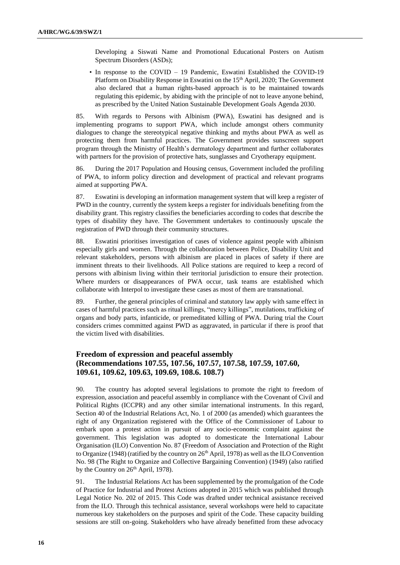Developing a Siswati Name and Promotional Educational Posters on Autism Spectrum Disorders (ASDs);

• In response to the COVID – 19 Pandemic, Eswatini Established the COVID-19 Platform on Disability Response in Eswatini on the 15<sup>th</sup> April, 2020; The Government also declared that a human rights-based approach is to be maintained towards regulating this epidemic, by abiding with the principle of not to leave anyone behind, as prescribed by the United Nation Sustainable Development Goals Agenda 2030.

85. With regards to Persons with Albinism (PWA), Eswatini has designed and is implementing programs to support PWA, which include amongst others community dialogues to change the stereotypical negative thinking and myths about PWA as well as protecting them from harmful practices. The Government provides sunscreen support program through the Ministry of Health's dermatology department and further collaborates with partners for the provision of protective hats, sunglasses and Cryotherapy equipment.

86. During the 2017 Population and Housing census, Government included the profiling of PWA, to inform policy direction and development of practical and relevant programs aimed at supporting PWA.

87. Eswatini is developing an information management system that will keep a register of PWD in the country, currently the system keeps a register for individuals benefiting from the disability grant. This registry classifies the beneficiaries according to codes that describe the types of disability they have. The Government undertakes to continuously upscale the registration of PWD through their community structures.

88. Eswatini prioritises investigation of cases of violence against people with albinism especially girls and women. Through the collaboration between Police, Disability Unit and relevant stakeholders, persons with albinism are placed in places of safety if there are imminent threats to their livelihoods. All Police stations are required to keep a record of persons with albinism living within their territorial jurisdiction to ensure their protection. Where murders or disappearances of PWA occur, task teams are established which collaborate with Interpol to investigate these cases as most of them are transnational.

89. Further, the general principles of criminal and statutory law apply with same effect in cases of harmful practices such as ritual killings, "mercy killings", mutilations, trafficking of organs and body parts, infanticide, or premeditated killing of PWA. During trial the Court considers crimes committed against PWD as aggravated, in particular if there is proof that the victim lived with disabilities.

### **Freedom of expression and peaceful assembly (Recommendations 107.55, 107.56, 107.57, 107.58, 107.59, 107.60, 109.61, 109.62, 109.63, 109.69, 108.6. 108.7)**

90. The country has adopted several legislations to promote the right to freedom of expression, association and peaceful assembly in compliance with the Covenant of Civil and Political Rights (ICCPR) and any other similar international instruments. In this regard, Section 40 of the Industrial Relations Act, No. 1 of 2000 (as amended) which guarantees the right of any Organization registered with the Office of the Commissioner of Labour to embark upon a protest action in pursuit of any socio-economic complaint against the government. This legislation was adopted to domesticate the International Labour Organisation (ILO) Convention No. 87 (Freedom of Association and Protection of the Right to Organize (1948) (ratified by the country on  $26<sup>th</sup>$  April, 1978) as well as the ILO Convention No. 98 (The Right to Organize and Collective Bargaining Convention) (1949) (also ratified by the Country on 26<sup>th</sup> April, 1978).

91. The Industrial Relations Act has been supplemented by the promulgation of the Code of Practice for Industrial and Protest Actions adopted in 2015 which was published through Legal Notice No. 202 of 2015. This Code was drafted under technical assistance received from the ILO. Through this technical assistance, several workshops were held to capacitate numerous key stakeholders on the purposes and spirit of the Code. These capacity building sessions are still on-going. Stakeholders who have already benefitted from these advocacy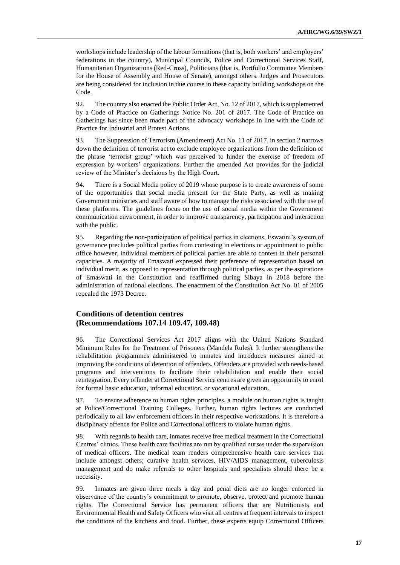workshops include leadership of the labour formations (that is, both workers' and employers' federations in the country), Municipal Councils, Police and Correctional Services Staff, Humanitarian Organizations (Red-Cross), Politicians (that is, Portfolio Committee Members for the House of Assembly and House of Senate), amongst others. Judges and Prosecutors are being considered for inclusion in due course in these capacity building workshops on the Code.

92. The country also enacted the Public Order Act, No. 12 of 2017, which is supplemented by a Code of Practice on Gatherings Notice No. 201 of 2017. The Code of Practice on Gatherings has since been made part of the advocacy workshops in line with the Code of Practice for Industrial and Protest Actions.

93. The Suppression of Terrorism (Amendment) Act No. 11 of 2017, in section 2 narrows down the definition of terrorist act to exclude employee organizations from the definition of the phrase 'terrorist group' which was perceived to hinder the exercise of freedom of expression by workers' organizations. Further the amended Act provides for the judicial review of the Minister's decisions by the High Court.

94. There is a Social Media policy of 2019 whose purpose is to create awareness of some of the opportunities that social media present for the State Party, as well as making Government ministries and staff aware of how to manage the risks associated with the use of these platforms. The guidelines focus on the use of social media within the Government communication environment, in order to improve transparency, participation and interaction with the public.

95. Regarding the non-participation of political parties in elections, Eswatini's system of governance precludes political parties from contesting in elections or appointment to public office however, individual members of political parties are able to contest in their personal capacities. A majority of Emaswati expressed their preference of representation based on individual merit, as opposed to representation through political parties, as per the aspirations of Emaswati in the Constitution and reaffirmed during Sibaya in 2018 before the administration of national elections. The enactment of the Constitution Act No. 01 of 2005 repealed the 1973 Decree.

#### **Conditions of detention centres (Recommendations 107.14 109.47, 109.48)**

96. The Correctional Services Act 2017 aligns with the United Nations Standard Minimum Rules for the Treatment of Prisoners (Mandela Rules). It further strengthens the rehabilitation programmes administered to inmates and introduces measures aimed at improving the conditions of detention of offenders. Offenders are provided with needs-based programs and interventions to facilitate their rehabilitation and enable their social reintegration. Every offender at Correctional Service centres are given an opportunity to enrol for formal basic education, informal education, or vocational education.

97. To ensure adherence to human rights principles, a module on human rights is taught at Police/Correctional Training Colleges. Further, human rights lectures are conducted periodically to all law enforcement officers in their respective workstations. It is therefore a disciplinary offence for Police and Correctional officers to violate human rights.

98. With regards to health care, inmates receive free medical treatment in the Correctional Centres' clinics. These health care facilities are run by qualified nurses under the supervision of medical officers. The medical team renders comprehensive health care services that include amongst others; curative health services, HIV/AIDS management, tuberculosis management and do make referrals to other hospitals and specialists should there be a necessity.

99. Inmates are given three meals a day and penal diets are no longer enforced in observance of the country's commitment to promote, observe, protect and promote human rights. The Correctional Service has permanent officers that are Nutritionists and Environmental Health and Safety Officers who visit all centres at frequent intervals to inspect the conditions of the kitchens and food. Further, these experts equip Correctional Officers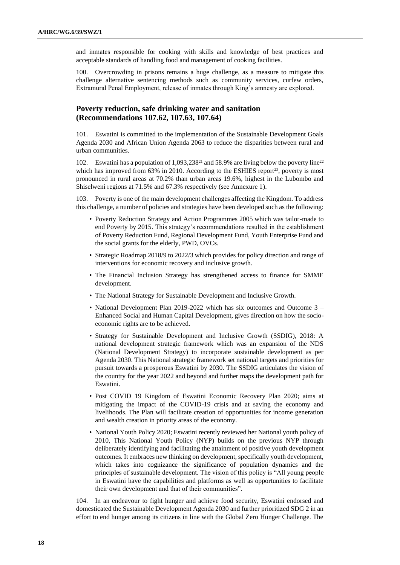and inmates responsible for cooking with skills and knowledge of best practices and acceptable standards of handling food and management of cooking facilities.

100. Overcrowding in prisons remains a huge challenge, as a measure to mitigate this challenge alternative sentencing methods such as community services, curfew orders, Extramural Penal Employment, release of inmates through King's amnesty are explored.

### **Poverty reduction, safe drinking water and sanitation (Recommendations 107.62, 107.63, 107.64)**

101. Eswatini is committed to the implementation of the Sustainable Development Goals Agenda 2030 and African Union Agenda 2063 to reduce the disparities between rural and urban communities.

102. Eswatini has a population of 1,093,238<sup>21</sup> and 58.9% are living below the poverty line<sup>22</sup> which has improved from  $63\%$  in 2010. According to the ESHIES report<sup>23</sup>, poverty is most pronounced in rural areas at 70.2% than urban areas 19.6%, highest in the Lubombo and Shiselweni regions at 71.5% and 67.3% respectively (see Annexure 1).

103. Poverty is one of the main development challenges affecting the Kingdom. To address this challenge, a number of policies and strategies have been developed such as the following:

- Poverty Reduction Strategy and Action Programmes 2005 which was tailor-made to end Poverty by 2015. This strategy's recommendations resulted in the establishment of Poverty Reduction Fund, Regional Development Fund, Youth Enterprise Fund and the social grants for the elderly, PWD, OVCs.
- Strategic Roadmap 2018/9 to 2022/3 which provides for policy direction and range of interventions for economic recovery and inclusive growth.
- The Financial Inclusion Strategy has strengthened access to finance for SMME development.
- The National Strategy for Sustainable Development and Inclusive Growth.
- National Development Plan 2019-2022 which has six outcomes and Outcome 3 Enhanced Social and Human Capital Development, gives direction on how the socioeconomic rights are to be achieved.
- Strategy for Sustainable Development and Inclusive Growth (SSDIG), 2018: A national development strategic framework which was an expansion of the NDS (National Development Strategy) to incorporate sustainable development as per Agenda 2030. This National strategic framework set national targets and priorities for pursuit towards a prosperous Eswatini by 2030. The SSDIG articulates the vision of the country for the year 2022 and beyond and further maps the development path for Eswatini.
- Post COVID 19 Kingdom of Eswatini Economic Recovery Plan 2020; aims at mitigating the impact of the COVID-19 crisis and at saving the economy and livelihoods. The Plan will facilitate creation of opportunities for income generation and wealth creation in priority areas of the economy.
- National Youth Policy 2020; Eswatini recently reviewed her National youth policy of 2010, This National Youth Policy (NYP) builds on the previous NYP through deliberately identifying and facilitating the attainment of positive youth development outcomes. It embraces new thinking on development, specifically youth development, which takes into cognizance the significance of population dynamics and the principles of sustainable development. The vision of this policy is "All young people in Eswatini have the capabilities and platforms as well as opportunities to facilitate their own development and that of their communities".

104. In an endeavour to fight hunger and achieve food security, Eswatini endorsed and domesticated the Sustainable Development Agenda 2030 and further prioritized SDG 2 in an effort to end hunger among its citizens in line with the Global Zero Hunger Challenge. The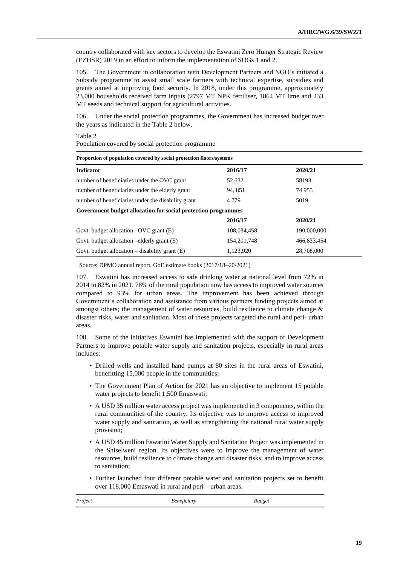country collaborated with key sectors to develop the Eswatini Zero Hunger Strategic Review (EZHSR) 2019 in an effort to inform the implementation of SDGs 1 and 2.

105. The Government in collaboration with Development Partners and NGO's initiated a Subsidy programme to assist small scale farmers with technical expertise, subsidies and grants aimed at improving food security. In 2018, under this programme, approximately 23,000 households received farm inputs (2797 MT NPK fertiliser, 1864 MT lime and 233 MT seeds and technical support for agricultural activities.

106. Under the social protection programmes, the Government has increased budget over the years as indicated in the Table 2 below.

Table 2 Population covered by social protection programme

| Proportion of population covered by social protection floors/systems |               |             |  |  |
|----------------------------------------------------------------------|---------------|-------------|--|--|
| <b>Indicator</b>                                                     | 2016/17       | 2020/21     |  |  |
| number of beneficiaries under the OVC grant                          | 52 632        | 58193       |  |  |
| number of beneficiaries under the elderly grant                      | 94, 851       | 74 955      |  |  |
| number of beneficiaries under the disability grant                   | 4 7 7 9       | 5019        |  |  |
| Government budget allocation for social protection programmes        |               |             |  |  |
|                                                                      | 2016/17       | 2020/21     |  |  |
| Govt. budget allocation $-OVC$ grant $(E)$                           | 108,034,458   | 190,000,000 |  |  |
| Govt. budget allocation $-e$ lderly grant $(E)$                      | 154, 201, 748 | 466,833,454 |  |  |
| Govt. budget allocation $-$ disability grant $(E)$                   | 1,123,920     | 28,708,000  |  |  |

Source: DPMO annual report, GoE estimate books (2017/18–20/2021)

107. Eswatini has increased access to safe drinking water at national level from 72% in 2014 to 82% in 2021. 78% of the rural population now has access to improved water sources compared to 93% for urban areas. The improvement has been achieved through Government's collaboration and assistance from various partners funding projects aimed at amongst others; the management of water resources, build resilience to climate change & disaster risks, water and sanitation. Most of these projects targeted the rural and peri- urban areas.

108. Some of the initiatives Eswatini has implemented with the support of Development Partners to improve potable water supply and sanitation projects, especially in rural areas includes:

- Drilled wells and installed hand pumps at 80 sites in the rural areas of Eswatini, benefitting 15,000 people in the communities;
- The Government Plan of Action for 2021 has an objective to implement 15 potable water projects to benefit 1,500 Emaswati;
- A USD 35 million water access project was implemented in 3 components, within the rural communities of the country. Its objective was to improve access to improved water supply and sanitation, as well as strengthening the national rural water supply provision;
- A USD 45 million Eswatini Water Supply and Sanitation Project was implemented in the Shiselweni region. Its objectives were to improve the management of water resources, build resilience to climate change and disaster risks, and to improve access to sanitation;
- Further launched four different potable water and sanitation projects set to benefit over 118,000 Emaswati in rural and peri – urban areas.

| Project | <i>Beneficiary</i> | <b>Budget</b> |
|---------|--------------------|---------------|
|         |                    |               |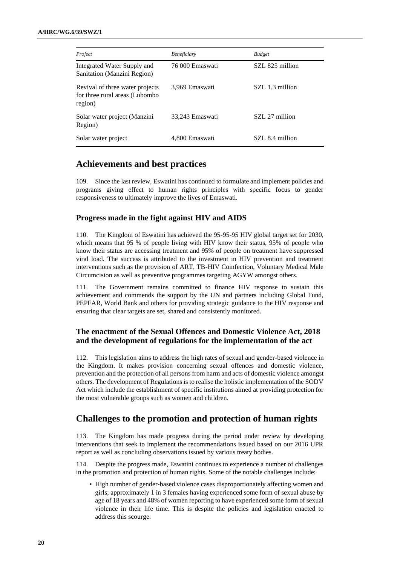| Project                                                                      | <b>Beneficiary</b> | <b>Budget</b>   |
|------------------------------------------------------------------------------|--------------------|-----------------|
| Integrated Water Supply and<br>Sanitation (Manzini Region)                   | 76 000 Emaswati    | SZL 825 million |
| Revival of three water projects<br>for three rural areas (Lubombo<br>region) | 3,969 Emaswati     | SZL 1.3 million |
| Solar water project (Manzini<br>Region)                                      | 33,243 Emaswati    | SZL 27 million  |
| Solar water project                                                          | 4,800 Emaswati     | SZL 8.4 million |

## **Achievements and best practices**

109. Since the last review, Eswatini has continued to formulate and implement policies and programs giving effect to human rights principles with specific focus to gender responsiveness to ultimately improve the lives of Emaswati.

#### **Progress made in the fight against HIV and AIDS**

110. The Kingdom of Eswatini has achieved the 95-95-95 HIV global target set for 2030, which means that 95 % of people living with HIV know their status, 95% of people who know their status are accessing treatment and 95% of people on treatment have suppressed viral load. The success is attributed to the investment in HIV prevention and treatment interventions such as the provision of ART, TB-HIV Coinfection, Voluntary Medical Male Circumcision as well as preventive programmes targeting AGYW amongst others.

111. The Government remains committed to finance HIV response to sustain this achievement and commends the support by the UN and partners including Global Fund, PEPFAR, World Bank and others for providing strategic guidance to the HIV response and ensuring that clear targets are set, shared and consistently monitored.

### **The enactment of the Sexual Offences and Domestic Violence Act, 2018 and the development of regulations for the implementation of the act**

112. This legislation aims to address the high rates of sexual and gender-based violence in the Kingdom. It makes provision concerning sexual offences and domestic violence, prevention and the protection of all persons from harm and acts of domestic violence amongst others. The development of Regulations is to realise the holistic implementation of the SODV Act which include the establishment of specific institutions aimed at providing protection for the most vulnerable groups such as women and children.

## **Challenges to the promotion and protection of human rights**

113. The Kingdom has made progress during the period under review by developing interventions that seek to implement the recommendations issued based on our 2016 UPR report as well as concluding observations issued by various treaty bodies.

114. Despite the progress made, Eswatini continues to experience a number of challenges in the promotion and protection of human rights. Some of the notable challenges include:

• High number of gender-based violence cases disproportionately affecting women and girls; approximately 1 in 3 females having experienced some form of sexual abuse by age of 18 years and 48% of women reporting to have experienced some form of sexual violence in their life time. This is despite the policies and legislation enacted to address this scourge.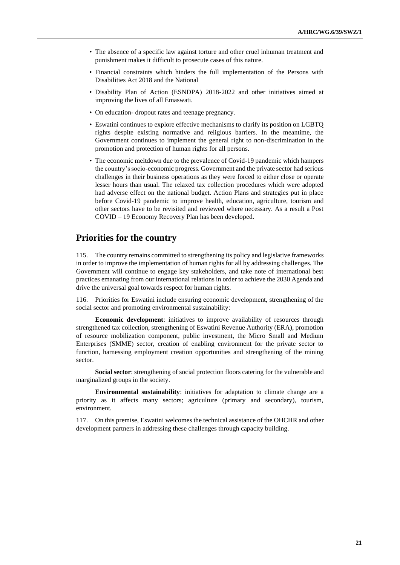- The absence of a specific law against torture and other cruel inhuman treatment and punishment makes it difficult to prosecute cases of this nature.
- Financial constraints which hinders the full implementation of the Persons with Disabilities Act 2018 and the National
- Disability Plan of Action (ESNDPA) 2018-2022 and other initiatives aimed at improving the lives of all Emaswati.
- On education- dropout rates and teenage pregnancy.
- Eswatini continues to explore effective mechanisms to clarify its position on LGBTQ rights despite existing normative and religious barriers. In the meantime, the Government continues to implement the general right to non-discrimination in the promotion and protection of human rights for all persons.
- The economic meltdown due to the prevalence of Covid-19 pandemic which hampers the country's socio-economic progress. Government and the private sector had serious challenges in their business operations as they were forced to either close or operate lesser hours than usual. The relaxed tax collection procedures which were adopted had adverse effect on the national budget. Action Plans and strategies put in place before Covid-19 pandemic to improve health, education, agriculture, tourism and other sectors have to be revisited and reviewed where necessary. As a result a Post COVID – 19 Economy Recovery Plan has been developed.

## **Priorities for the country**

115. The country remains committed to strengthening its policy and legislative frameworks in order to improve the implementation of human rights for all by addressing challenges. The Government will continue to engage key stakeholders, and take note of international best practices emanating from our international relations in order to achieve the 2030 Agenda and drive the universal goal towards respect for human rights.

116. Priorities for Eswatini include ensuring economic development, strengthening of the social sector and promoting environmental sustainability:

**Economic development**: initiatives to improve availability of resources through strengthened tax collection, strengthening of Eswatini Revenue Authority (ERA), promotion of resource mobilization component, public investment, the Micro Small and Medium Enterprises (SMME) sector, creation of enabling environment for the private sector to function, harnessing employment creation opportunities and strengthening of the mining sector.

**Social sector**: strengthening of social protection floors catering for the vulnerable and marginalized groups in the society.

**Environmental sustainability**: initiatives for adaptation to climate change are a priority as it affects many sectors; agriculture (primary and secondary), tourism, environment.

117. On this premise, Eswatini welcomes the technical assistance of the OHCHR and other development partners in addressing these challenges through capacity building.